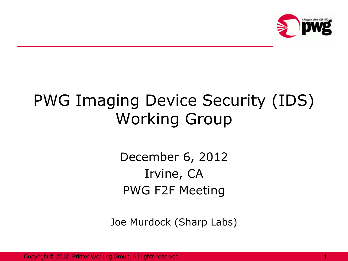

## PWG Imaging Device Security (IDS) Working Group

December 6, 2012 Irvine, CA PWG F2F Meeting

Joe Murdock (Sharp Labs)

Copyright © 2012, Printer Working Group. All rights reserved.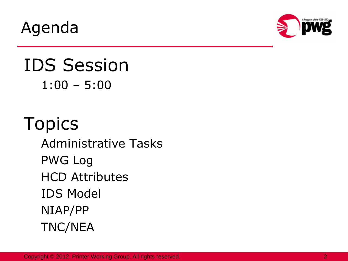Agenda



#### IDS Session 1:00 – 5:00

# Topics

Administrative Tasks PWG Log HCD Attributes IDS Model NIAP/PP TNC/NEA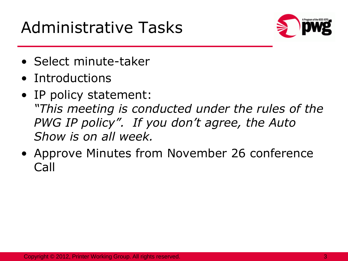### Administrative Tasks



- Select minute-taker
- Introductions
- IP policy statement: *"This meeting is conducted under the rules of the PWG IP policy". If you don't agree, the Auto Show is on all week.*
- Approve Minutes from November 26 conference Call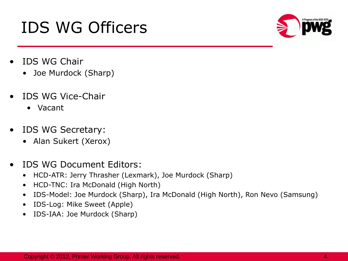## IDS WG Officers



- IDS WG Chair
	- Joe Murdock (Sharp)
- IDS WG Vice-Chair
	- Vacant
- IDS WG Secretary:
	- Alan Sukert (Xerox)
- IDS WG Document Editors:
	- HCD-ATR: Jerry Thrasher (Lexmark), Joe Murdock (Sharp)
	- HCD-TNC: Ira McDonald (High North)
	- IDS-Model: Joe Murdock (Sharp), Ira McDonald (High North), Ron Nevo (Samsung)
	- IDS-Log: Mike Sweet (Apple)
	- IDS-IAA: Joe Murdock (Sharp)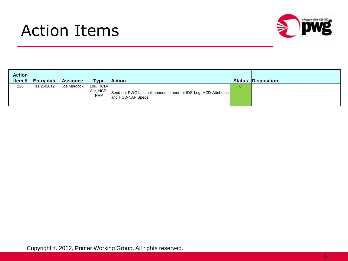#### Action Items



| <b>Action</b><br>Item # | <b>Entry date</b> | <b>Assignee</b> | <b>Type</b>             | <b>Action</b>                                                                                   | <b>Status</b> | <b>Disposition</b> |
|-------------------------|-------------------|-----------------|-------------------------|-------------------------------------------------------------------------------------------------|---------------|--------------------|
| 126                     | 11/26/2012        | Joe Murdock     | Log, HCD-<br><b>NAP</b> | Attr, HCD-Send out PWG Last call announcement for IDS-Log, HCD-Attributes<br>and HCD-NAP Specs. | С             |                    |

Copyright © 2012, Printer Working Group. All rights reserved.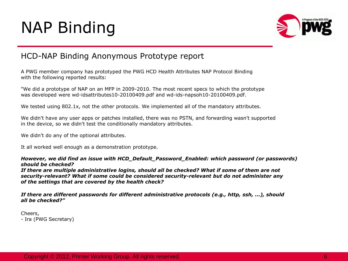## NAP Binding



#### HCD-NAP Binding Anonymous Prototype report

A PWG member company has prototyped the PWG HCD Health Attributes NAP Protocol Binding with the following reported results:

"We did a prototype of NAP on an MFP in 2009-2010. The most recent specs to which the prototype was developed were wd-idsattributes10-20100409.pdf and wd-ids-napsoh10-20100409.pdf.

We tested using 802.1x, not the other protocols. We implemented all of the mandatory attributes.

We didn't have any user apps or patches installed, there was no PSTN, and forwarding wasn't supported in the device, so we didn't test the conditionally mandatory attributes.

We didn't do any of the optional attributes.

It all worked well enough as a demonstration prototype.

*However, we did find an issue with HCD\_Default\_Password\_Enabled: which password (or passwords) should be checked?*

*If there are multiple administrative logins, should all be checked? What if some of them are not security-relevant? What if some could be considered security-relevant but do not administer any of the settings that are covered by the health check?*

*If there are different passwords for different administrative protocols (e.g., http, ssh, ...), should all be checked?"*

Cheers, - Ira (PWG Secretary)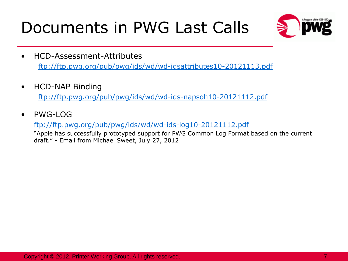## Documents in PWG Last Calls



- HCD-Assessment-Attributes <ftp://ftp.pwg.org/pub/pwg/ids/wd/wd-idsattributes10-20121113.pdf>
- HCD-NAP Binding

<ftp://ftp.pwg.org/pub/pwg/ids/wd/wd-ids-napsoh10-20121112.pdf>

• PWG-LOG

<ftp://ftp.pwg.org/pub/pwg/ids/wd/wd-ids-log10-20121112.pdf>

"Apple has successfully prototyped support for PWG Common Log Format based on the current draft." - Email from Michael Sweet, July 27, 2012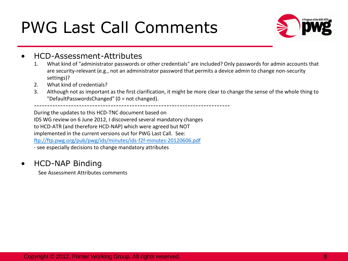### PWG Last Call Comments



#### • HCD-Assessment-Attributes

- 1. What kind of "administrator passwords or other credentials" are included? Only passwords for admin accounts that are security-relevant (e.g., not an administrator password that permits a device admin to change non-security settings)?
- 2. What kind of credentials?
- 3. Although not as important as the first clarification, it might be more clear to change the sense of the whole thing to "DefaultPasswordsChanged" (0 = not changed).

--------------------------------------------------------------------------

During the updates to this HCD-TNC document based on IDS WG review on 6 June 2012, I discovered several mandatory changes to HCD-ATR (and therefore HCD-NAP) which were agreed but NOT implemented in the current versions out for PWG Last Call. See: <ftp://ftp.pwg.org/pub/pwg/ids/minutes/ids-f2f-minutes-20120606.pdf> - see especially decisions to change mandatory attributes

#### • HCD-NAP Binding

See Assessment Attributes comments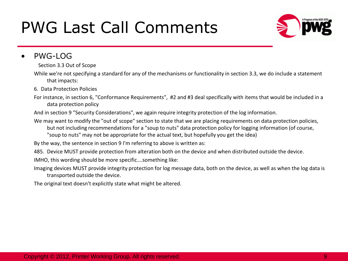### PWG Last Call Comments



#### • PWG-LOG

Section 3.3 Out of Scope

While we're not specifying a standard for any of the mechanisms or functionality in section 3.3, we do include a statement that impacts:

- 6. Data Protection Policies
- For instance, in section 6, "Conformance Requirements", #2 and #3 deal specifically with items that would be included in a data protection policy
- And in section 9 "Security Considerations", we again require integrity protection of the log information.
- We may want to modify the "out of scope" section to state that we are placing requirements on data protection policies, but not including recommendations for a "soup to nuts" data protection policy for logging information (of course, "soup to nuts" may not be appropriate for the actual text, but hopefully you get the idea)

By the way, the sentence in section 9 I'm referring to above is written as:

485. Device MUST provide protection from alteration both on the device and when distributed outside the device.

IMHO, this wording should be more specific….something like:

Imaging devices MUST provide integrity protection for log message data, both on the device, as well as when the log data is transported outside the device.

The original text doesn't explicitly state what might be altered.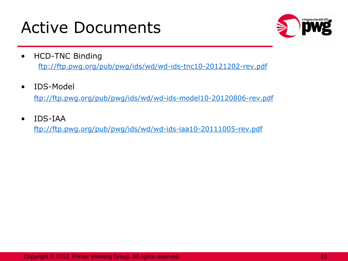#### Active Documents



- **HCD-TNC Binding** <ftp://ftp.pwg.org/pub/pwg/ids/wd/wd-ids-tnc10-20121202-rev.pdf>
- IDS-Model

[ftp://ftp.pwg.org/pub/pwg/ids/wd/wd-ids-model10-20120806-rev.pdf](ftp://ftp.pwg.org/pub/pwg/ids/wd/wd-ids-model10-20120803-rev.pdf)

• IDS-IAA

<ftp://ftp.pwg.org/pub/pwg/ids/wd/wd-ids-iaa10-20111005-rev.pdf>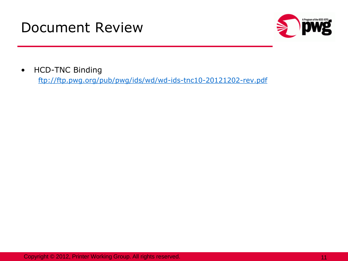#### Document Review



• HCD-TNC Binding

<ftp://ftp.pwg.org/pub/pwg/ids/wd/wd-ids-tnc10-20121202-rev.pdf>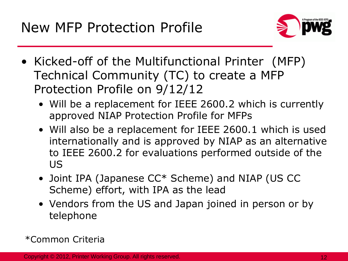

- Kicked-off of the Multifunctional Printer (MFP) Technical Community (TC) to create a MFP Protection Profile on 9/12/12
	- Will be a replacement for IEEE 2600.2 which is currently approved NIAP Protection Profile for MFPs
	- Will also be a replacement for IEEE 2600.1 which is used internationally and is approved by NIAP as an alternative to IEEE 2600.2 for evaluations performed outside of the US
	- Joint IPA (Japanese CC\* Scheme) and NIAP (US CC Scheme) effort, with IPA as the lead
	- Vendors from the US and Japan joined in person or by telephone

\*Common Criteria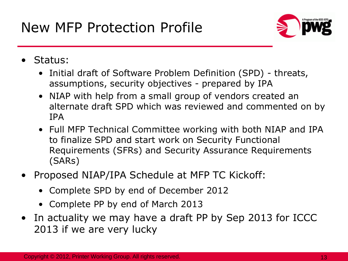

- Status:
	- Initial draft of Software Problem Definition (SPD) threats, assumptions, security objectives - prepared by IPA
	- NIAP with help from a small group of vendors created an alternate draft SPD which was reviewed and commented on by IPA
	- Full MFP Technical Committee working with both NIAP and IPA to finalize SPD and start work on Security Functional Requirements (SFRs) and Security Assurance Requirements (SARs)
- Proposed NIAP/IPA Schedule at MFP TC Kickoff:
	- Complete SPD by end of December 2012
	- Complete PP by end of March 2013
- In actuality we may have a draft PP by Sep 2013 for ICCC 2013 if we are very lucky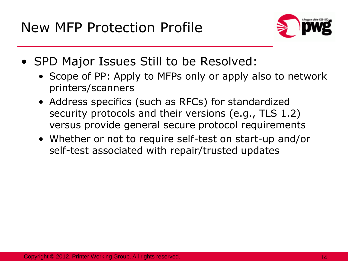

- SPD Major Issues Still to be Resolved:
	- Scope of PP: Apply to MFPs only or apply also to network printers/scanners
	- Address specifics (such as RFCs) for standardized security protocols and their versions (e.g., TLS 1.2) versus provide general secure protocol requirements
	- Whether or not to require self-test on start-up and/or self-test associated with repair/trusted updates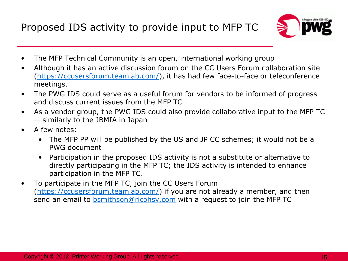Proposed IDS activity to provide input to MFP TC



- The MFP Technical Community is an open, international working group
- Although it has an active discussion forum on the CC Users Forum collaboration site ([https://ccusersforum.teamlab.com/\)](https://ccusersforum.teamlab.com/), it has had few face-to-face or teleconference meetings.
- The PWG IDS could serve as a useful forum for vendors to be informed of progress and discuss current issues from the MFP TC
- As a vendor group, the PWG IDS could also provide collaborative input to the MFP TC -- similarly to the JBMIA in Japan
- A few notes:
	- The MFP PP will be published by the US and JP CC schemes; it would not be a PWG document
	- Participation in the proposed IDS activity is not a substitute or alternative to directly participating in the MFP TC; the IDS activity is intended to enhance participation in the MFP TC.
- To participate in the MFP TC, join the CC Users Forum ([https://ccusersforum.teamlab.com/\)](https://ccusersforum.teamlab.com/) if you are not already a member, and then send an email to [bsmithson@ricohsv.com](mailto:bsmithson@ricohsv.com) with a request to join the MFP TC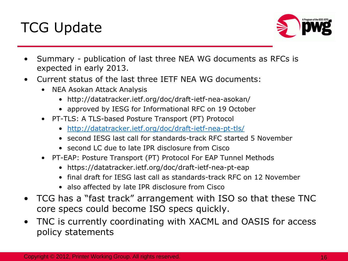



- Summary publication of last three NEA WG documents as RFCs is expected in early 2013.
- Current status of the last three IETF NEA WG documents:
	- NEA Asokan Attack Analysis
		- http://datatracker.ietf.org/doc/draft-ietf-nea-asokan/
		- approved by IESG for Informational RFC on 19 October
	- PT-TLS: A TLS-based Posture Transport (PT) Protocol
		- <http://datatracker.ietf.org/doc/draft-ietf-nea-pt-tls/>
		- second IESG last call for standards-track RFC started 5 November
		- second LC due to late IPR disclosure from Cisco
	- PT-EAP: Posture Transport (PT) Protocol For EAP Tunnel Methods
		- https://datatracker.ietf.org/doc/draft-ietf-nea-pt-eap
		- final draft for IESG last call as standards-track RFC on 12 November
		- also affected by late IPR disclosure from Cisco
- TCG has a "fast track" arrangement with ISO so that these TNC core specs could become ISO specs quickly.
- TNC is currently coordinating with XACML and OASIS for access policy statements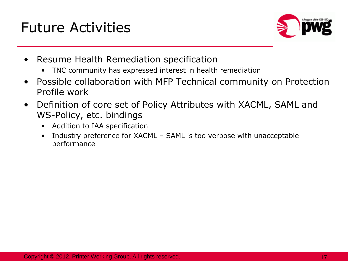#### Future Activities



- Resume Health Remediation specification
	- TNC community has expressed interest in health remediation
- Possible collaboration with MFP Technical community on Protection Profile work
- Definition of core set of Policy Attributes with XACML, SAML and WS-Policy, etc. bindings
	- Addition to IAA specification
	- Industry preference for XACML SAML is too verbose with unacceptable performance